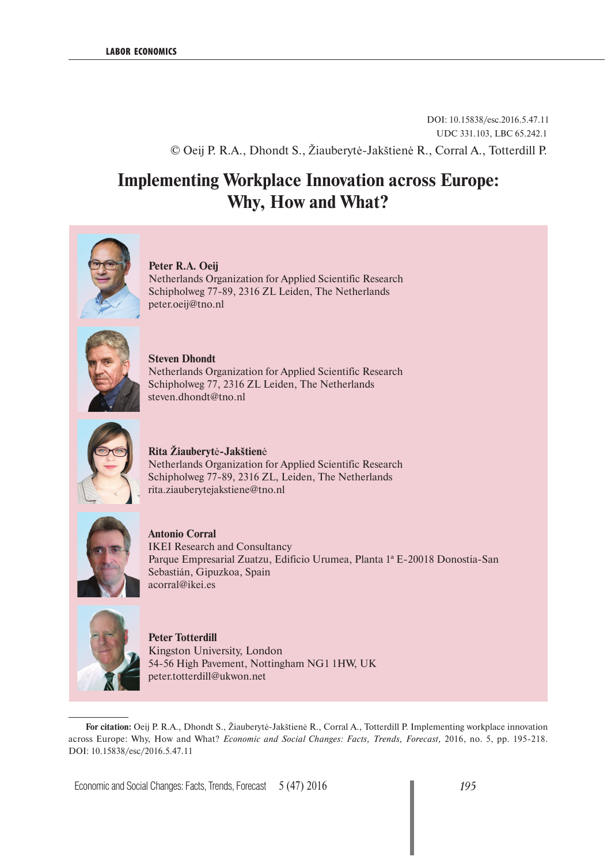### DOI: 10.15838/esc.2016.5.47.11 UDC 331.103, LBC 65.242.1 © Oeij P. R.A., Dhondt S., Žiauberytė-Jakštienė R., Corral A., Totterdill P.

# **Implementing Workplace Innovation across Europe: Why, How and What?**



**Peter R.A. Oeij** 

Netherlands Organization for Applied Scientific Research Schipholweg 77-89, 2316 ZL Leiden, The Netherlands peter.oeij@tno.nl



**Steven Dhondt** Netherlands Organization for Applied Scientific Research Schipholweg 77, 2316 ZL Leiden, The Netherlands steven.dhondt@tno.nl



**Rita Žiauberyt**ė**-Jakštien**ė Netherlands Organization for Applied Scientific Research Schipholweg 77-89, 2316 ZL, Leiden, The Netherlands rita.ziauberytejakstiene@tno.nl



**Antonio Corral** IKEI Research and Consultancy Parque Empresarial Zuatzu, Edificio Urumea, Planta 1ª E-20018 Donostia-San Sebastián, Gipuzkoa, Spain acorral@ikei.es



**Peter Totterdill**  Kingston University, London 54-56 High Pavement, Nottingham NG1 1HW, UK peter.totterdill@ukwon.net

**For citation:** Oeij P. R.A., Dhondt S., Žiauberytė-Jakštienė R., Corral A., Totterdill P. Implementing workplace innovation across Europe: Why, How and What? *Economic and Social Changes: Facts, Trends, Forecast,* 2016, no. 5, pp. 195-218. DOI: 10.15838/esc/2016.5.47.11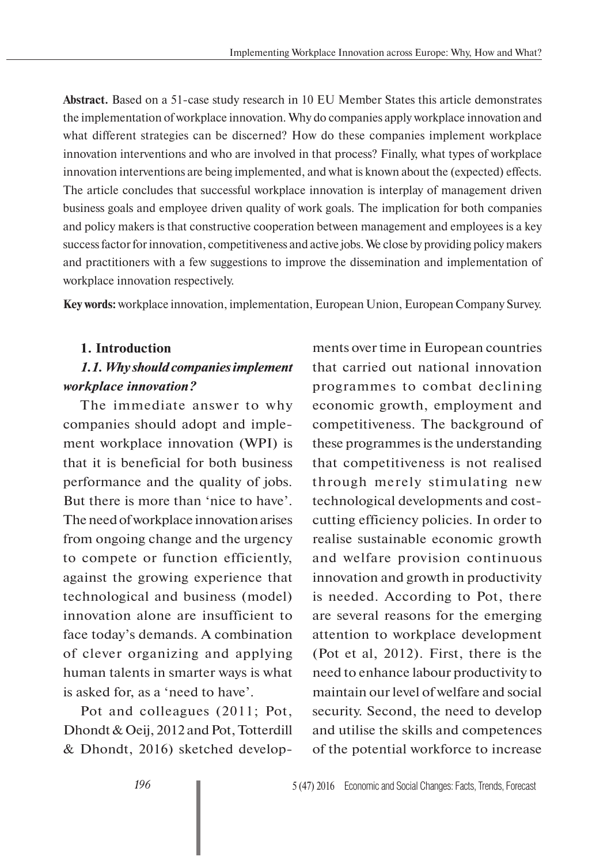**Abstract.** Based on a 51-case study research in 10 EU Member States this article demonstrates the implementation of workplace innovation. Why do companies apply workplace innovation and what different strategies can be discerned? How do these companies implement workplace innovation interventions and who are involved in that process? Finally, what types of workplace innovation interventions are being implemented, and what is known about the (expected) effects. The article concludes that successful workplace innovation is interplay of management driven business goals and employee driven quality of work goals. The implication for both companies and policy makers is that constructive cooperation between management and employees is a key success factor for innovation, competitiveness and active jobs. We close by providing policy makers and practitioners with a few suggestions to improve the dissemination and implementation of workplace innovation respectively.

**Key words:** workplace innovation, implementation, European Union, European Company Survey.

#### **1. Introduction**

### *1.1. Why should companies implement workplace innovation?*

The immediate answer to why companies should adopt and implement workplace innovation (WPI) is that it is beneficial for both business performance and the quality of jobs. But there is more than 'nice to have'. The need of workplace innovation arises from ongoing change and the urgency to compete or function efficiently, against the growing experience that technological and business (model) innovation alone are insufficient to face today's demands. A combination of clever organizing and applying human talents in smarter ways is what is asked for, as a 'need to have'.

Pot and colleagues (2011; Pot, Dhondt & Oeij, 2012 and Pot, Totterdill & Dhondt, 2016) sketched developments over time in European countries that carried out national innovation programmes to combat declining economic growth, employment and competitiveness. The background of these programmes is the understanding that competitiveness is not realised through merely stimulating new technological developments and costcutting efficiency policies. In order to realise sustainable economic growth and welfare provision continuous innovation and growth in productivity is needed. According to Pot, there are several reasons for the emerging attention to workplace development (Pot et al, 2012). First, there is the need to enhance labour productivity to maintain our level of welfare and social security. Second, the need to develop and utilise the skills and competences of the potential workforce to increase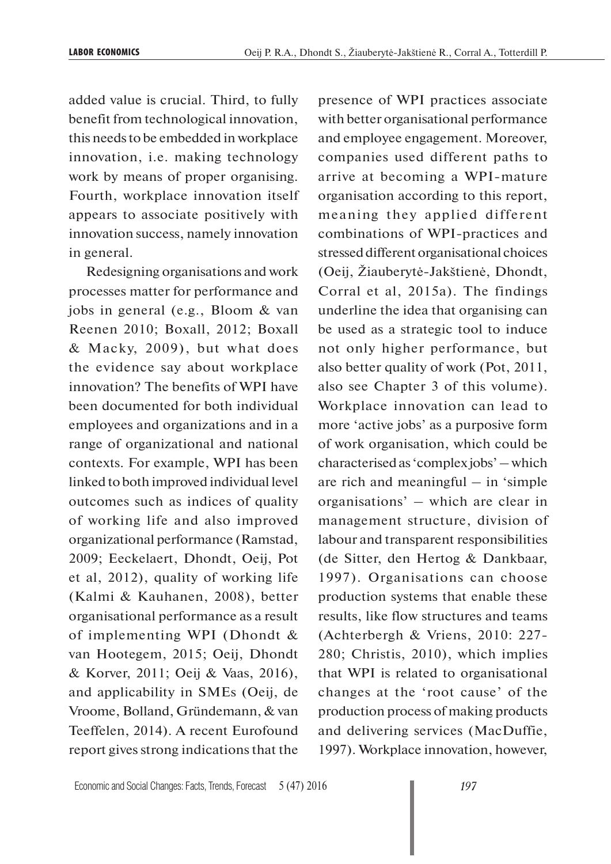added value is crucial. Third, to fully benefit from technological innovation, this needs to be embedded in workplace innovation, i.e. making technology work by means of proper organising. Fourth, workplace innovation itself appears to associate positively with innovation success, namely innovation in general.

Redesigning organisations and work processes matter for performance and jobs in general (e.g., Bloom & van Reenen 2010; Boxall, 2012; Boxall & Macky, 2009), but what does the evidence say about workplace innovation? The benefits of WPI have been documented for both individual employees and organizations and in a range of organizational and national contexts. For example, WPI has been linked to both improved individual level outcomes such as indices of quality of working life and also improved organizational performance (Ramstad, 2009; Eeckelaert, Dhondt, Oeij, Pot et al, 2012), quality of working life (Kalmi & Kauhanen, 2008), better organisational performance as a result of implementing WPI (Dhondt & van Hootegem, 2015; Oeij, Dhondt & Korver, 2011; Oeij & Vaas, 2016), and applicability in SMEs (Oeij, de Vroome, Bolland, Gründemann, & van Teeffelen, 2014). A recent Eurofound report gives strong indications that the presence of WPI practices associate with better organisational performance and employee engagement. Moreover, companies used different paths to arrive at becoming a WPI-mature organisation according to this report, meaning they applied different combinations of WPI-practices and stressed different organisational choices (Oeij, Žiauberytė-Jakštienė, Dhondt, Corral et al, 2015a). The findings underline the idea that organising can be used as a strategic tool to induce not only higher performance, but also better quality of work (Pot, 2011, also see Chapter 3 of this volume). Workplace innovation can lead to more 'active jobs' as a purposive form of work organisation, which could be characterised as 'complex jobs' – which are rich and meaningful – in 'simple organisations' – which are clear in management structure, division of labour and transparent responsibilities (de Sitter, den Hertog & Dankbaar, 1997). Organisations can choose production systems that enable these results, like flow structures and teams (Achterbergh & Vriens, 2010: 227- 280; Christis, 2010), which implies that WPI is related to organisational changes at the 'root cause' of the production process of making products and delivering services (MacDuffie, 1997). Workplace innovation, however,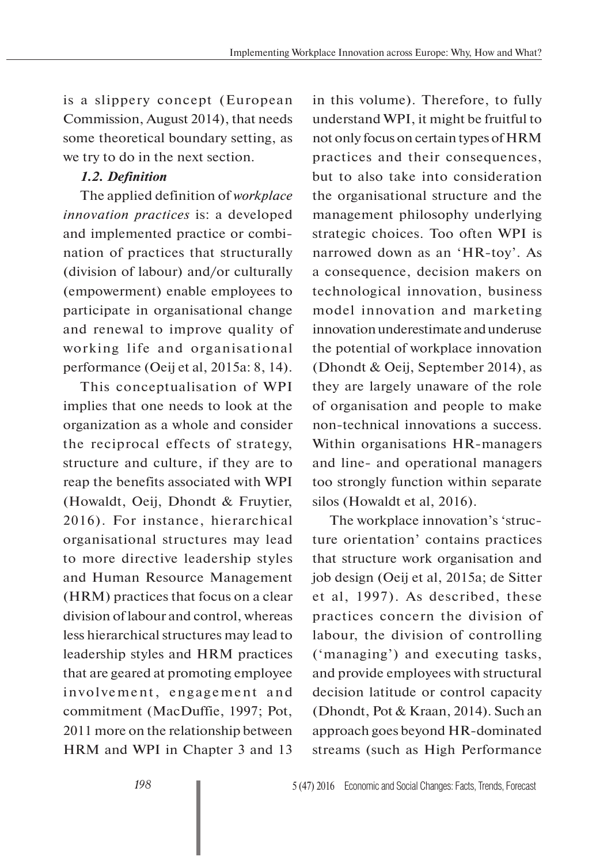is a slippery concept (European Commission, August 2014), that needs some theoretical boundary setting, as we try to do in the next section.

### *1.2. Definition*

The applied definition of *workplace innovation practices* is: a developed and implemented practice or combination of practices that structurally (division of labour) and/or culturally (empowerment) enable employees to participate in organisational change and renewal to improve quality of working life and organisational performance (Oeij et al, 2015a: 8, 14).

This conceptualisation of WPI implies that one needs to look at the organization as a whole and consider the reciprocal effects of strategy, structure and culture, if they are to reap the benefits associated with WPI (Howaldt, Oeij, Dhondt & Fruytier, 2016). For instance, hierarchical organisational structures may lead to more directive leadership styles and Human Resource Management (HRM) practices that focus on a clear division of labour and control, whereas less hierarchical structures may lead to leadership styles and HRM practices that are geared at promoting employee involvement, engagement and commitment (MacDuffie, 1997; Pot, 2011 more on the relationship between HRM and WPI in Chapter 3 and 13

in this volume). Therefore, to fully understand WPI, it might be fruitful to not only focus on certain types of HRM practices and their consequences, but to also take into consideration the organisational structure and the management philosophy underlying strategic choices. Too often WPI is narrowed down as an 'HR-toy'. As a consequence, decision makers on technological innovation, business model innovation and marketing innovation underestimate and underuse the potential of workplace innovation (Dhondt & Oeij, September 2014), as they are largely unaware of the role of organisation and people to make non-technical innovations a success. Within organisations HR-managers and line- and operational managers too strongly function within separate silos (Howaldt et al, 2016).

The workplace innovation's 'structure orientation' contains practices that structure work organisation and job design (Oeij et al, 2015a; de Sitter et al, 1997). As described, these practices concern the division of labour, the division of controlling ('managing') and executing tasks, and provide employees with structural decision latitude or control capacity (Dhondt, Pot & Kraan, 2014). Such an approach goes beyond HR-dominated streams (such as High Performance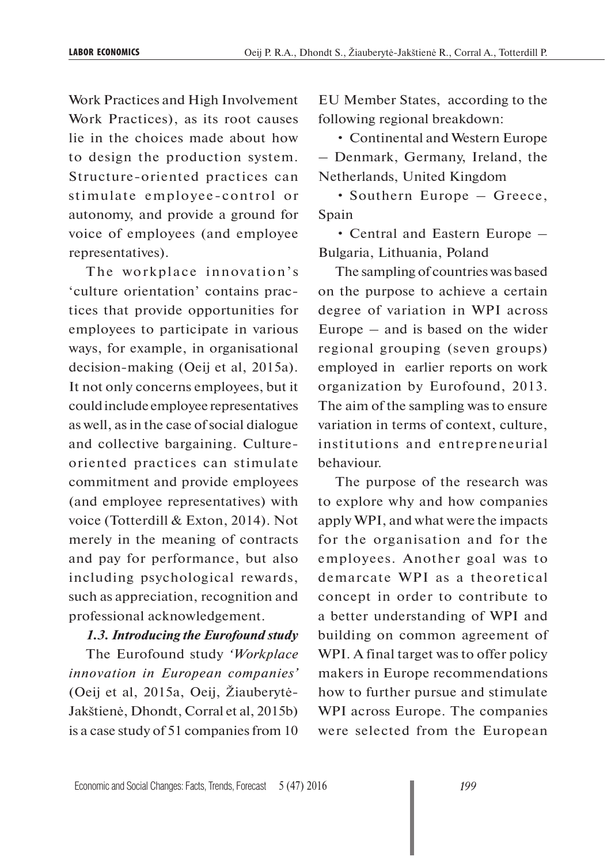Work Practices and High Involvement Work Practices), as its root causes lie in the choices made about how to design the production system. Structure-oriented practices can stimulate employee-control or autonomy, and provide a ground for voice of employees (and employee representatives).

The workplace innovation's 'culture orientation' contains practices that provide opportunities for employees to participate in various ways, for example, in organisational decision-making (Oeij et al, 2015a). It not only concerns employees, but it could include employee representatives as well, as in the case of social dialogue and collective bargaining. Cultureoriented practices can stimulate commitment and provide employees (and employee representatives) with voice (Totterdill & Exton, 2014). Not merely in the meaning of contracts and pay for performance, but also including psychological rewards, such as appreciation, recognition and professional acknowledgement.

#### *1.3. Introducing the Eurofound study*

The Eurofound study *'Workplace innovation in European companies'* (Oeij et al, 2015a, Oeij, Žiauberytė-Jakštienė, Dhondt, Corral et al, 2015b) is a case study of 51 companies from 10

EU Member States, according to the following regional breakdown:

• Continental and Western Europe – Denmark, Germany, Ireland, the Netherlands, United Kingdom

• Southern Europe – Greece, Spain

• Central and Eastern Europe – Bulgaria, Lithuania, Poland

The sampling of countries was based on the purpose to achieve a certain degree of variation in WPI across Europe – and is based on the wider regional grouping (seven groups) employed in earlier reports on work organization by Eurofound, 2013. The aim of the sampling was to ensure variation in terms of context, culture, institutions and entrepreneurial behaviour.

The purpose of the research was to explore why and how companies apply WPI, and what were the impacts for the organisation and for the employees. Another goal was to demarcate WPI as a theoretical concept in order to contribute to a better understanding of WPI and building on common agreement of WPI. A final target was to offer policy makers in Europe recommendations how to further pursue and stimulate WPI across Europe. The companies were selected from the European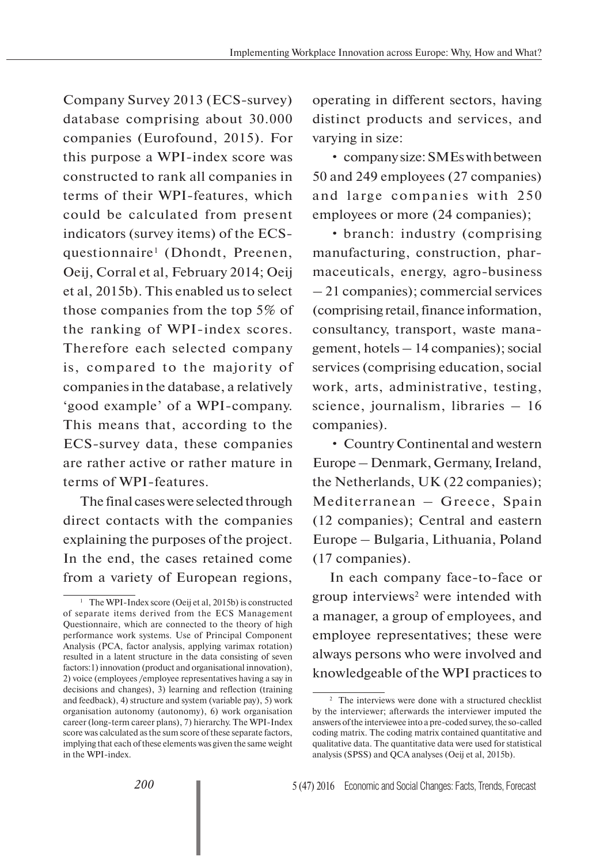Company Survey 2013 (ECS-survey) database comprising about 30.000 companies (Eurofound, 2015). For this purpose a WPI-index score was constructed to rank all companies in terms of their WPI-features, which could be calculated from present indicators (survey items) of the ECSquestionnaire<sup>1</sup> (Dhondt, Preenen, Oeij, Corral et al, February 2014; Oeij et al, 2015b). This enabled us to select those companies from the top 5% of the ranking of WPI-index scores. Therefore each selected company is, compared to the majority of companies in the database, a relatively 'good example' of a WPI-company. This means that, according to the ECS-survey data, these companies are rather active or rather mature in terms of WPI-features.

The final cases were selected through direct contacts with the companies explaining the purposes of the project. In the end, the cases retained come from a variety of European regions,

operating in different sectors, having distinct products and services, and varying in size:

• company size: SMEs with between 50 and 249 employees (27 companies) and large companies with 250 employees or more (24 companies);

• branch: industry (comprising manufacturing, construction, pharmaceuticals, energy, agro-business – 21 companies); commercial services (comprising retail, finance information, consultancy, transport, waste management, hotels – 14 companies); social services (comprising education, social work, arts, administrative, testing, science, journalism, libraries – 16 companies).

• Country Continental and western Europe – Denmark, Germany, Ireland, the Netherlands, UK (22 companies); Mediterranean – Greece, Spain (12 companies); Central and eastern Europe – Bulgaria, Lithuania, Poland (17 companies).

In each company face-to-face or group interviews<sup>2</sup> were intended with a manager, a group of employees, and employee representatives; these were always persons who were involved and knowledgeable of the WPI practices to

<sup>&</sup>lt;sup>1</sup> The WPI-Index score (Oeij et al, 2015b) is constructed of separate items derived from the ECS Management Questionnaire, which are connected to the theory of high performance work systems. Use of Principal Component Analysis (PCA, factor analysis, applying varimax rotation) resulted in a latent structure in the data consisting of seven factors:1) innovation (product and organisational innovation), 2) voice (employees /employee representatives having a say in decisions and changes), 3) learning and reflection (training and feedback), 4) structure and system (variable pay), 5) work organisation autonomy (autonomy), 6) work organisation career (long-term career plans), 7) hierarchy. The WPI-Index score was calculated as the sum score of these separate factors, implying that each of these elements was given the same weight in the WPI-index.

<sup>2</sup> The interviews were done with a structured checklist by the interviewer; afterwards the interviewer imputed the answers of the interviewee into a pre-coded survey, the so-called coding matrix. The coding matrix contained quantitative and qualitative data. The quantitative data were used for statistical analysis (SPSS) and QCA analyses (Oeij et al, 2015b).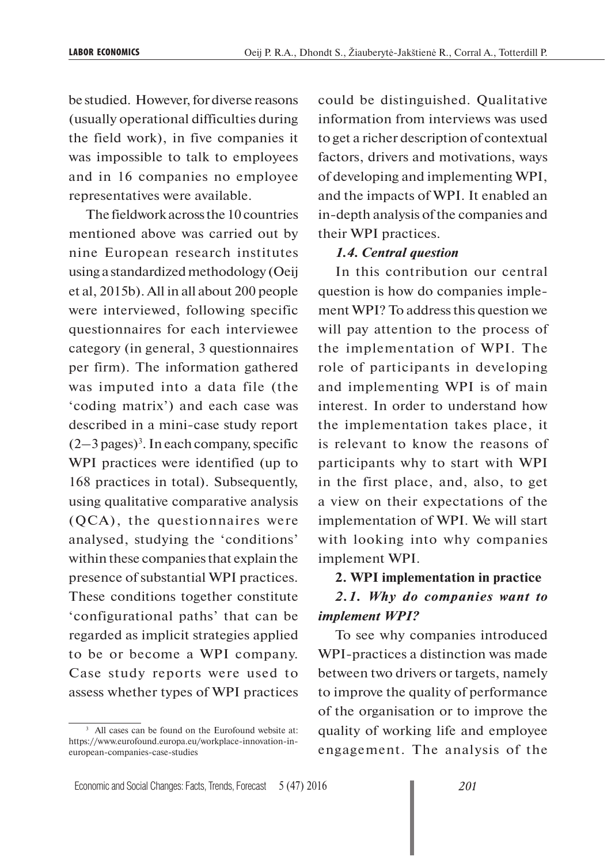be studied. However, for diverse reasons (usually operational difficulties during the field work), in five companies it was impossible to talk to employees and in 16 companies no employee representatives were available.

The fieldwork across the 10 countries mentioned above was carried out by nine European research institutes using a standardized methodology (Oeij et al, 2015b). All in all about 200 people were interviewed, following specific questionnaires for each interviewee category (in general, 3 questionnaires per firm). The information gathered was imputed into a data file (the 'coding matrix') and each case was described in a mini-case study report  $(2-3$  pages)<sup>3</sup>. In each company, specific WPI practices were identified (up to 168 practices in total). Subsequently, using qualitative comparative analysis (QCA), the questionnaires were analysed, studying the 'conditions' within these companies that explain the presence of substantial WPI practices. These conditions together constitute 'configurational paths' that can be regarded as implicit strategies applied to be or become a WPI company. Case study reports were used to assess whether types of WPI practices

could be distinguished. Qualitative information from interviews was used to get a richer description of contextual factors, drivers and motivations, ways of developing and implementing WPI, and the impacts of WPI. It enabled an in-depth analysis of the companies and their WPI practices.

#### *1.4. Central question*

In this contribution our central question is how do companies implement WPI? To address this question we will pay attention to the process of the implementation of WPI. The role of participants in developing and implementing WPI is of main interest. In order to understand how the implementation takes place, it is relevant to know the reasons of participants why to start with WPI in the first place, and, also, to get a view on their expectations of the implementation of WPI. We will start with looking into why companies implement WPI.

#### **2. WPI implementation in practice**

# *2.1. Why do companies want to implement WPI?*

To see why companies introduced WPI-practices a distinction was made between two drivers or targets, namely to improve the quality of performance of the organisation or to improve the quality of working life and employee engagement. The analysis of the

<sup>&</sup>lt;sup>3</sup> All cases can be found on the Eurofound website at: https://www.eurofound.europa.eu/workplace-innovation-ineuropean-companies-case-studies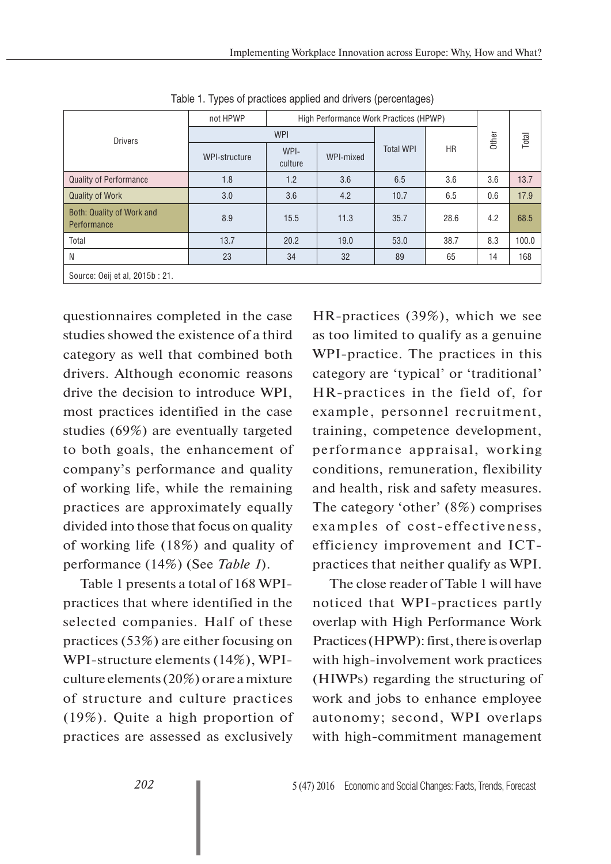|                                          | not HPWP      | High Performance Work Practices (HPWP) |           |                  |           |       |       |
|------------------------------------------|---------------|----------------------------------------|-----------|------------------|-----------|-------|-------|
| <b>Drivers</b>                           | <b>WPI</b>    |                                        |           |                  |           | Other | Total |
|                                          | WPI-structure | WPI-<br>culture                        | WPI-mixed | <b>Total WPI</b> | <b>HR</b> |       |       |
| <b>Quality of Performance</b>            | 1.8           | 1.2                                    | 3.6       | 6.5              | 3.6       | 3.6   | 13.7  |
| <b>Quality of Work</b>                   | 3.0           | 3.6                                    | 4.2       | 10.7             | 6.5       | 0.6   | 17.9  |
| Both: Quality of Work and<br>Performance | 8.9           | 15.5                                   | 11.3      | 35.7             | 28.6      | 4.2   | 68.5  |
| Total                                    | 13.7          | 20.2                                   | 19.0      | 53.0             | 38.7      | 8.3   | 100.0 |
| N                                        | 23            | 34                                     | 32        | 89               | 65        | 14    | 168   |
| Source: Oeij et al, 2015b: 21.           |               |                                        |           |                  |           |       |       |

Table 1. Types of practices applied and drivers (percentages)

questionnaires completed in the case studies showed the existence of a third category as well that combined both drivers. Although economic reasons drive the decision to introduce WPI, most practices identified in the case studies (69%) are eventually targeted to both goals, the enhancement of company's performance and quality of working life, while the remaining practices are approximately equally divided into those that focus on quality of working life (18%) and quality of performance (14%) (See *Table 1*).

Table 1 presents a total of 168 WPIpractices that where identified in the selected companies. Half of these practices (53%) are either focusing on WPI-structure elements (14%), WPIculture elements (20%) or are a mixture of structure and culture practices (19%). Quite a high proportion of practices are assessed as exclusively

HR-practices (39%), which we see as too limited to qualify as a genuine WPI-practice. The practices in this category are 'typical' or 'traditional' HR-practices in the field of, for example, personnel recruitment, training, competence development, performance appraisal, working conditions, remuneration, flexibility and health, risk and safety measures. The category 'other' (8%) comprises examples of cost-effectiveness, efficiency improvement and ICTpractices that neither qualify as WPI.

The close reader of Table 1 will have noticed that WPI-practices partly overlap with High Performance Work Practices (HPWP): first, there is overlap with high-involvement work practices (HIWPs) regarding the structuring of work and jobs to enhance employee autonomy; second, WPI overlaps with high-commitment management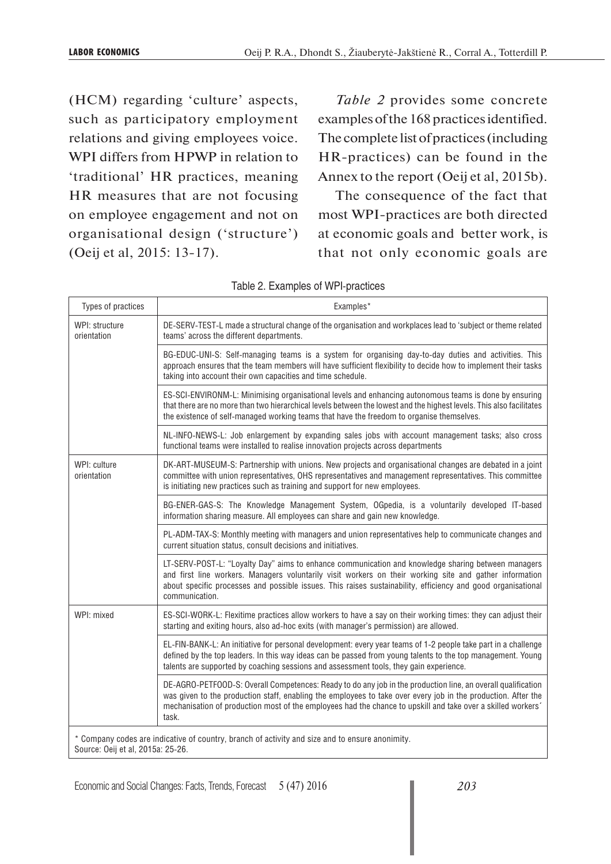(HCM) regarding 'culture' aspects, such as participatory employment relations and giving employees voice. WPI differs from HPWP in relation to 'traditional' HR practices, meaning HR measures that are not focusing on employee engagement and not on organisational design ('structure') (Oeij et al, 2015: 13-17).

*Table 2* provides some concrete examples of the 168 practices identified. The complete list of practices (including HR-practices) can be found in the Annex to the report (Oeij et al, 2015b).

The consequence of the fact that most WPI-practices are both directed at economic goals and better work, is that not only economic goals are

| Types of practices            | Examples*                                                                                                                                                                                                                                                                                                                                              |  |  |  |
|-------------------------------|--------------------------------------------------------------------------------------------------------------------------------------------------------------------------------------------------------------------------------------------------------------------------------------------------------------------------------------------------------|--|--|--|
| WPI: structure<br>orientation | DE-SERV-TEST-L made a structural change of the organisation and workplaces lead to 'subject or theme related<br>teams' across the different departments.                                                                                                                                                                                               |  |  |  |
|                               | BG-EDUC-UNI-S: Self-managing teams is a system for organising day-to-day duties and activities. This<br>approach ensures that the team members will have sufficient flexibility to decide how to implement their tasks<br>taking into account their own capacities and time schedule.                                                                  |  |  |  |
|                               | ES-SCI-ENVIRONM-L: Minimising organisational levels and enhancing autonomous teams is done by ensuring<br>that there are no more than two hierarchical levels between the lowest and the highest levels. This also facilitates<br>the existence of self-managed working teams that have the freedom to organise themselves.                            |  |  |  |
|                               | NL-INFO-NEWS-L: Job enlargement by expanding sales jobs with account management tasks; also cross<br>functional teams were installed to realise innovation projects across departments                                                                                                                                                                 |  |  |  |
| WPI: culture<br>orientation   | DK-ART-MUSEUM-S: Partnership with unions. New projects and organisational changes are debated in a joint<br>committee with union representatives, OHS representatives and management representatives. This committee<br>is initiating new practices such as training and support for new employees.                                                    |  |  |  |
|                               | BG-ENER-GAS-S: The Knowledge Management System, OGpedia, is a voluntarily developed IT-based<br>information sharing measure. All employees can share and gain new knowledge.                                                                                                                                                                           |  |  |  |
|                               | PL-ADM-TAX-S: Monthly meeting with managers and union representatives help to communicate changes and<br>current situation status, consult decisions and initiatives.                                                                                                                                                                                  |  |  |  |
|                               | LT-SERV-POST-L: "Loyalty Day" aims to enhance communication and knowledge sharing between managers<br>and first line workers. Managers voluntarily visit workers on their working site and gather information<br>about specific processes and possible issues. This raises sustainability, efficiency and good organisational<br>communication.        |  |  |  |
| WPI: mixed                    | ES-SCI-WORK-L: Flexitime practices allow workers to have a say on their working times: they can adjust their<br>starting and exiting hours, also ad-hoc exits (with manager's permission) are allowed.                                                                                                                                                 |  |  |  |
|                               | EL-FIN-BANK-L: An initiative for personal development: every year teams of 1-2 people take part in a challenge<br>defined by the top leaders. In this way ideas can be passed from young talents to the top management. Young<br>talents are supported by coaching sessions and assessment tools, they gain experience.                                |  |  |  |
|                               | DE-AGRO-PETFOOD-S: Overall Competences: Ready to do any job in the production line, an overall qualification<br>was given to the production staff, enabling the employees to take over every job in the production. After the<br>mechanisation of production most of the employees had the chance to upskill and take over a skilled workers'<br>task. |  |  |  |
|                               | Company codes are indicative of country, branch of activity and size and to ensure anonimity.                                                                                                                                                                                                                                                          |  |  |  |

Table 2. Examples of WPI-practices

ative of country, b Source: Oeij et al, 2015a: 25-26.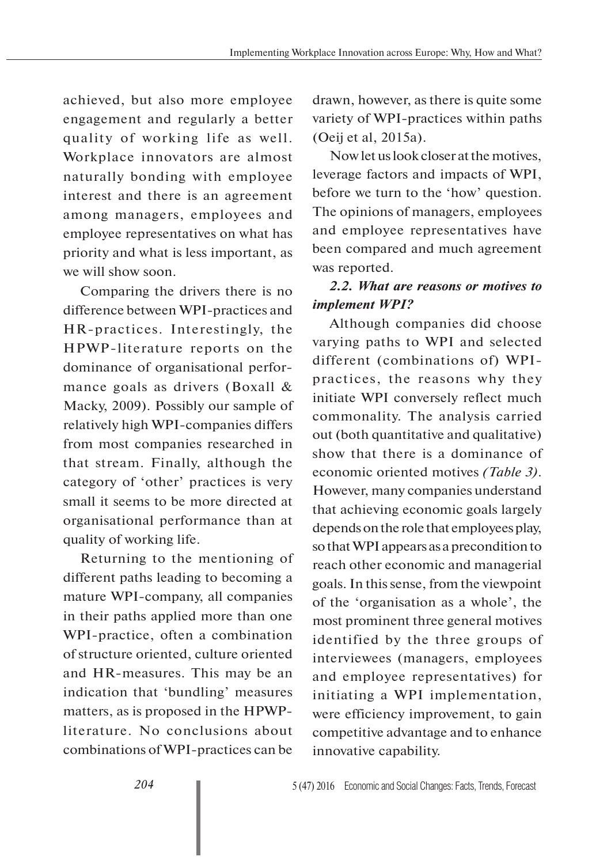achieved, but also more employee engagement and regularly a better quality of working life as well. Workplace innovators are almost naturally bonding with employee interest and there is an agreement among managers, employees and employee representatives on what has priority and what is less important, as we will show soon.

Comparing the drivers there is no difference between WPI-practices and HR-practices. Interestingly, the HPWP-literature reports on the dominance of organisational performance goals as drivers (Boxall & Macky, 2009). Possibly our sample of relatively high WPI-companies differs from most companies researched in that stream. Finally, although the category of 'other' practices is very small it seems to be more directed at organisational performance than at quality of working life.

Returning to the mentioning of different paths leading to becoming a mature WPI-company, all companies in their paths applied more than one WPI-practice, often a combination of structure oriented, culture oriented and HR-measures. This may be an indication that 'bundling' measures matters, as is proposed in the HPWPliterature. No conclusions about combinations of WPI-practices can be

drawn, however, as there is quite some variety of WPI-practices within paths (Oeij et al, 2015a).

Now let us look closer at the motives, leverage factors and impacts of WPI, before we turn to the 'how' question. The opinions of managers, employees and employee representatives have been compared and much agreement was reported.

# *2.2. What are reasons or motives to implement WPI?*

Although companies did choose varying paths to WPI and selected different (combinations of) WPIpractices, the reasons why they initiate WPI conversely reflect much commonality. The analysis carried out (both quantitative and qualitative) show that there is a dominance of economic oriented motives *(Table 3)*. However, many companies understand that achieving economic goals largely depends on the role that employees play, so that WPI appears as a precondition to reach other economic and managerial goals. In this sense, from the viewpoint of the 'organisation as a whole', the most prominent three general motives identified by the three groups of interviewees (managers, employees and employee representatives) for initiating a WPI implementation, were efficiency improvement, to gain competitive advantage and to enhance innovative capability.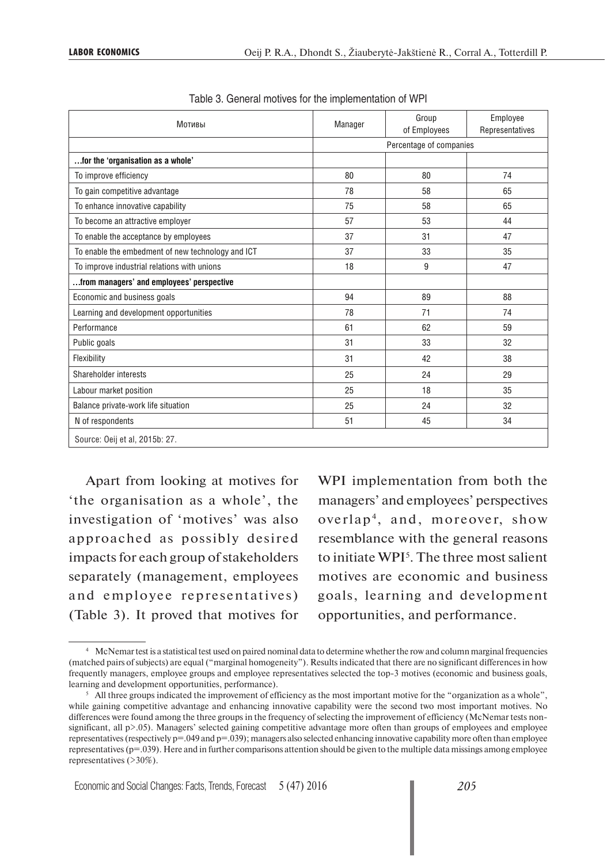| Мотивы                                            | Manager | Group<br>of Employees   | Employee<br>Representatives |  |
|---------------------------------------------------|---------|-------------------------|-----------------------------|--|
|                                                   |         | Percentage of companies |                             |  |
| for the 'organisation as a whole'                 |         |                         |                             |  |
| To improve efficiency                             | 80      | 80                      | 74                          |  |
| To gain competitive advantage                     | 78      | 58                      | 65                          |  |
| To enhance innovative capability                  | 75      | 58                      | 65                          |  |
| To become an attractive employer                  | 57      | 53                      | 44                          |  |
| To enable the acceptance by employees             | 37      | 31                      | 47                          |  |
| To enable the embedment of new technology and ICT | 37      | 33                      | 35                          |  |
| To improve industrial relations with unions       | 18      | 9                       | 47                          |  |
| from managers' and employees' perspective         |         |                         |                             |  |
| Economic and business goals                       | 94      | 89                      | 88                          |  |
| Learning and development opportunities            | 78      | 71                      | 74                          |  |
| Performance                                       | 61      | 62                      | 59                          |  |
| Public goals                                      | 31      | 33                      | 32                          |  |
| Flexibility                                       | 31      | 42                      | 38                          |  |
| Shareholder interests                             | 25      | 24                      | 29                          |  |
| Labour market position                            | 25      | 18                      | 35                          |  |
| Balance private-work life situation               | 25      | 24                      | 32                          |  |
| N of respondents                                  | 51      | 45                      | 34                          |  |
| Source: Oeij et al, 2015b: 27.                    |         |                         |                             |  |

Table 3. General motives for the implementation of WPI

Apart from looking at motives for 'the organisation as a whole', the investigation of 'motives' was also approached as possibly desired impacts for each group of stakeholders separately (management, employees and employee representatives) (Table 3). It proved that motives for

WPI implementation from both the managers' and employees' perspectives overlap4, and, moreover, show resemblance with the general reasons to initiate WPI<sup>5</sup>. The three most salient motives are economic and business goals, learning and development opportunities, and performance.

<sup>4</sup> McNemar test is a statistical test used on paired nominal data to determine whether the row and column marginal frequencies (matched pairs of subjects) are equal ("marginal homogeneity"). Results indicated that there are no significant differences in how frequently managers, employee groups and employee representatives selected the top-3 motives (economic and business goals, learning and development opportunities, performance).

 $5$  All three groups indicated the improvement of efficiency as the most important motive for the "organization as a whole", while gaining competitive advantage and enhancing innovative capability were the second two most important motives. No differences were found among the three groups in the frequency of selecting the improvement of efficiency (McNemar tests nonsignificant, all p>.05). Managers' selected gaining competitive advantage more often than groups of employees and employee representatives (respectively  $p=0.049$  and  $p=0.039$ ); managers also selected enhancing innovative capability more often than employee representatives (p=.039). Here and in further comparisons attention should be given to the multiple data missings among employee representatives (>30%).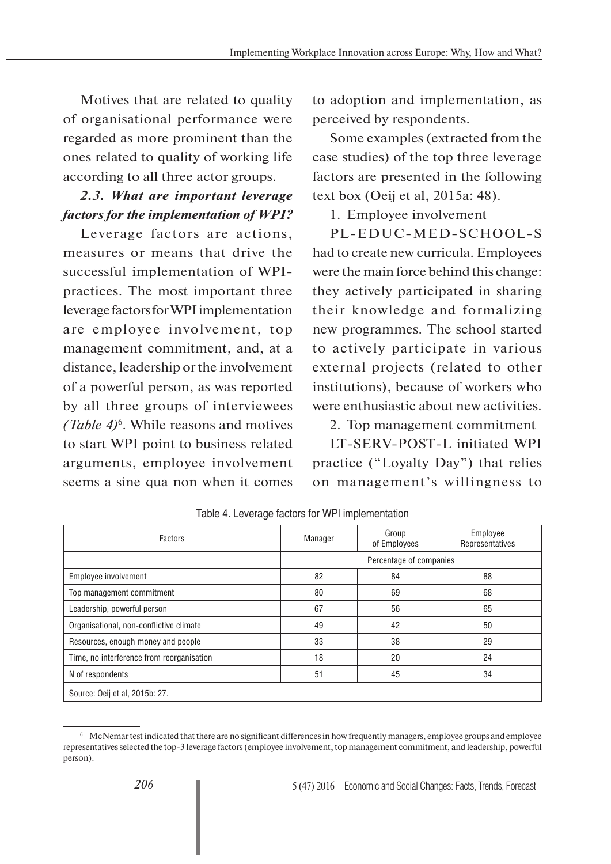Motives that are related to quality of organisational performance were regarded as more prominent than the ones related to quality of working life according to all three actor groups.

# *2.3. What are important leverage factors for the implementation of WPI?*

Leverage factors are actions, measures or means that drive the successful implementation of WPIpractices. The most important three leverage factors for WPI implementation are employee involvement, top management commitment, and, at a distance, leadership or the involvement of a powerful person, as was reported by all three groups of interviewees *(Table 4)*<sup>6</sup> . While reasons and motives to start WPI point to business related arguments, employee involvement seems a sine qua non when it comes

to adoption and implementation, as perceived by respondents.

Some examples (extracted from the case studies) of the top three leverage factors are presented in the following text box (Oeij et al, 2015a: 48).

1. Employee involvement

PL-EDUC-MED-SCHOOL-S had to create new curricula. Employees were the main force behind this change: they actively participated in sharing their knowledge and formalizing new programmes. The school started to actively participate in various external projects (related to other institutions), because of workers who were enthusiastic about new activities.

2. Top management commitment

LT-SERV-POST-L initiated WPI practice ("Loyalty Day") that relies on management's willingness to

| Factors                                   | Manager                 | Group<br>of Employees | Employee<br>Representatives |
|-------------------------------------------|-------------------------|-----------------------|-----------------------------|
|                                           | Percentage of companies |                       |                             |
| Employee involvement                      | 82                      | 84                    | 88                          |
| Top management commitment                 | 80                      | 69                    | 68                          |
| Leadership, powerful person               | 67                      | 56                    | 65                          |
| Organisational, non-conflictive climate   | 49                      | 42                    | 50                          |
| Resources, enough money and people        | 33                      | 38                    | 29                          |
| Time, no interference from reorganisation | 18                      | 20                    | 24                          |
| N of respondents                          | 51                      | 45                    | 34                          |
| Source: Oeij et al, 2015b: 27.            |                         |                       |                             |

Table 4. Leverage factors for WPI implementation

<sup>6</sup> McNemar test indicated that there are no significant differences in how frequently managers, employee groups and employee representatives selected the top-3 leverage factors (employee involvement, top management commitment, and leadership, powerful person).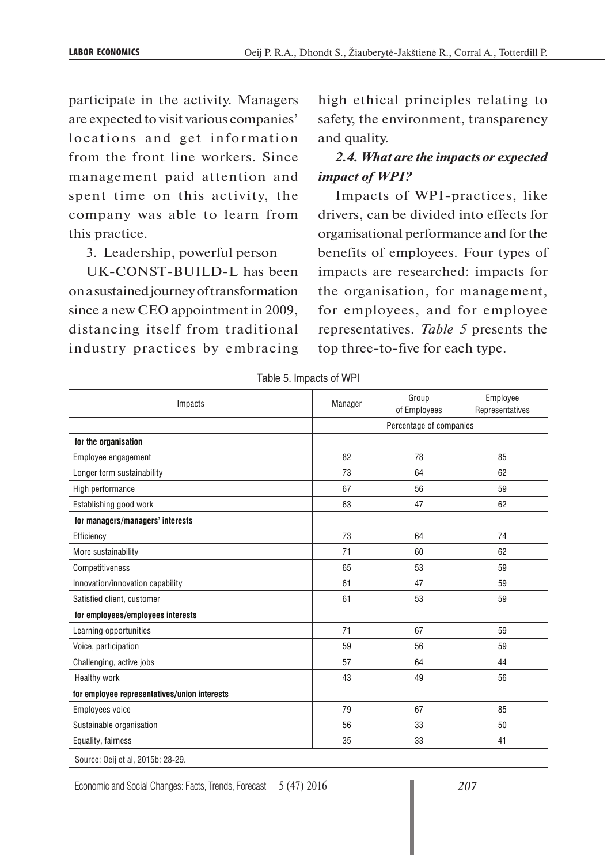participate in the activity. Managers are expected to visit various companies' locations and get information from the front line workers. Since management paid attention and spent time on this activity, the company was able to learn from this practice.

3. Leadership, powerful person

UK-CONST-BUILD-L has been on a sustained journey of transformation since a new CEO appointment in 2009, distancing itself from traditional industry practices by embracing high ethical principles relating to safety, the environment, transparency and quality.

# *2.4. What are the impacts or expected impact of WPI?*

Impacts of WPI-practices, like drivers, can be divided into effects for organisational performance and for the benefits of employees. Four types of impacts are researched: impacts for the organisation, for management, for employees, and for employee representatives. *Table 5* presents the top three-to-five for each type.

| Impacts                                      | Manager | Group<br>of Employees   | Employee<br>Representatives |  |  |
|----------------------------------------------|---------|-------------------------|-----------------------------|--|--|
|                                              |         | Percentage of companies |                             |  |  |
| for the organisation                         |         |                         |                             |  |  |
| Employee engagement                          | 82      | 78                      | 85                          |  |  |
| Longer term sustainability                   | 73      | 64                      | 62                          |  |  |
| High performance                             | 67      | 56                      | 59                          |  |  |
| Establishing good work                       | 63      | 47                      | 62                          |  |  |
| for managers/managers' interests             |         |                         |                             |  |  |
| Efficiency                                   | 73      | 64                      | 74                          |  |  |
| More sustainability                          | 71      | 60                      | 62                          |  |  |
| Competitiveness                              | 65      | 53                      | 59                          |  |  |
| Innovation/innovation capability             | 61      | 47                      | 59                          |  |  |
| Satisfied client, customer                   | 61      | 53                      | 59                          |  |  |
| for employees/employees interests            |         |                         |                             |  |  |
| Learning opportunities                       | 71      | 67                      | 59                          |  |  |
| Voice, participation                         | 59      | 56                      | 59                          |  |  |
| Challenging, active jobs                     | 57      | 64                      | 44                          |  |  |
| Healthy work                                 | 43      | 49                      | 56                          |  |  |
| for employee representatives/union interests |         |                         |                             |  |  |
| Employees voice                              | 79      | 67                      | 85                          |  |  |
| Sustainable organisation                     | 56      | 33                      | 50                          |  |  |
| Equality, fairness                           | 35      | 33                      | 41                          |  |  |
| Source: Oeij et al, 2015b: 28-29.            |         |                         |                             |  |  |

Table 5. Impacts of WPI

Economic and Social Changes: Facts, Trends, Forecast 5 (47) 2016 *207*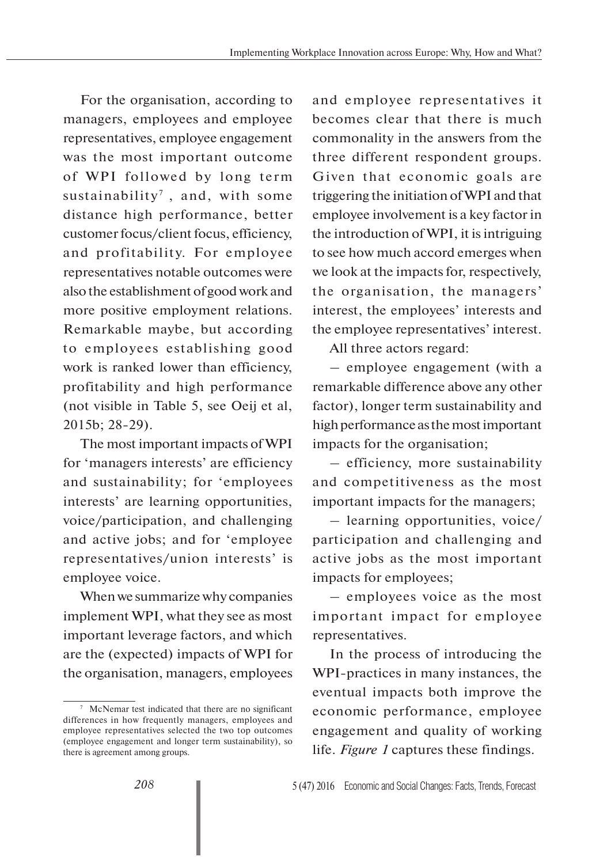For the organisation, according to managers, employees and employee representatives, employee engagement was the most important outcome of WPI followed by long term sustainability<sup>7</sup>, and, with some distance high performance, better customer focus/client focus, efficiency, and profitability. For employee representatives notable outcomes were also the establishment of good work and more positive employment relations. Remarkable maybe, but according to employees establishing good work is ranked lower than efficiency, profitability and high performance (not visible in Table 5, see Oeij et al, 2015b; 28-29).

The most important impacts of WPI for 'managers interests' are efficiency and sustainability; for 'employees interests' are learning opportunities, voice/participation, and challenging and active jobs; and for 'employee representatives/union interests' is employee voice.

When we summarize why companies implement WPI, what they see as most important leverage factors, and which are the (expected) impacts of WPI for the organisation, managers, employees and employee representatives it becomes clear that there is much commonality in the answers from the three different respondent groups. Given that economic goals are triggering the initiation of WPI and that employee involvement is a key factor in the introduction of WPI, it is intriguing to see how much accord emerges when we look at the impacts for, respectively, the organisation, the managers' interest, the employees' interests and the employee representatives' interest.

All three actors regard:

– employee engagement (with a remarkable difference above any other factor), longer term sustainability and high performance as the most important impacts for the organisation;

– efficiency, more sustainability and competitiveness as the most important impacts for the managers;

– learning opportunities, voice/ participation and challenging and active jobs as the most important impacts for employees;

– employees voice as the most important impact for employee representatives.

In the process of introducing the WPI-practices in many instances, the eventual impacts both improve the economic performance, employee engagement and quality of working life. *Figure 1* captures these findings.

<sup>7</sup> McNemar test indicated that there are no significant differences in how frequently managers, employees and employee representatives selected the two top outcomes (employee engagement and longer term sustainability), so there is agreement among groups.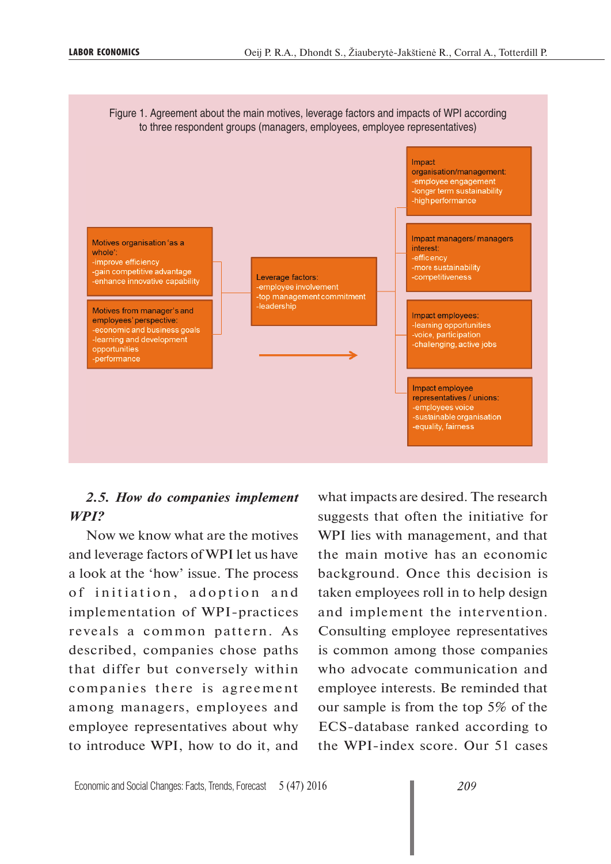

### *2.5. How do companies implement WPI?*

Now we know what are the motives and leverage factors of WPI let us have a look at the 'how' issue. The process of initiation, adoption and implementation of WPI-practices reveals a common pattern. As described, companies chose paths that differ but conversely within companies there is agreement among managers, employees and employee representatives about why to introduce WPI, how to do it, and what impacts are desired. The research suggests that often the initiative for WPI lies with management, and that the main motive has an economic background. Once this decision is taken employees roll in to help design and implement the intervention. Consulting employee representatives is common among those companies who advocate communication and employee interests. Be reminded that our sample is from the top 5% of the ECS-database ranked according to the WPI-index score. Our 51 cases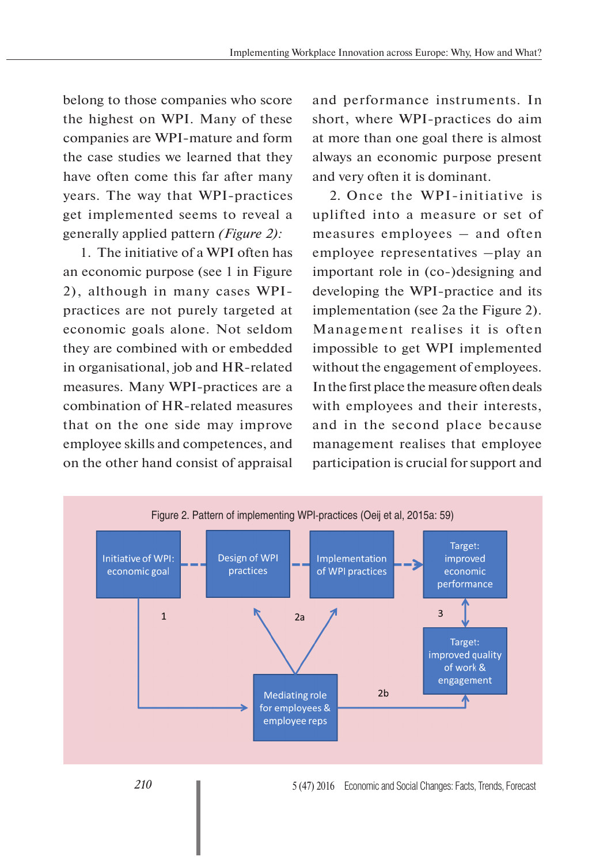belong to those companies who score the highest on WPI. Many of these companies are WPI-mature and form the case studies we learned that they have often come this far after many years. The way that WPI-practices get implemented seems to reveal a generally applied pattern *(Figure 2):*

1. The initiative of a WPI often has an economic purpose (see 1 in Figure 2), although in many cases WPIpractices are not purely targeted at economic goals alone. Not seldom they are combined with or embedded in organisational, job and HR-related measures. Many WPI-practices are a combination of HR-related measures that on the one side may improve employee skills and competences, and on the other hand consist of appraisal

and performance instruments. In short, where WPI-practices do aim at more than one goal there is almost always an economic purpose present and very often it is dominant.

2. Once the WPI-initiative is uplifted into a measure or set of measures employees – and often employee representatives –play an important role in (co-)designing and developing the WPI-practice and its implementation (see 2a the Figure 2). Management realises it is often impossible to get WPI implemented without the engagement of employees. In the first place the measure often deals with employees and their interests, and in the second place because management realises that employee participation is crucial for support and

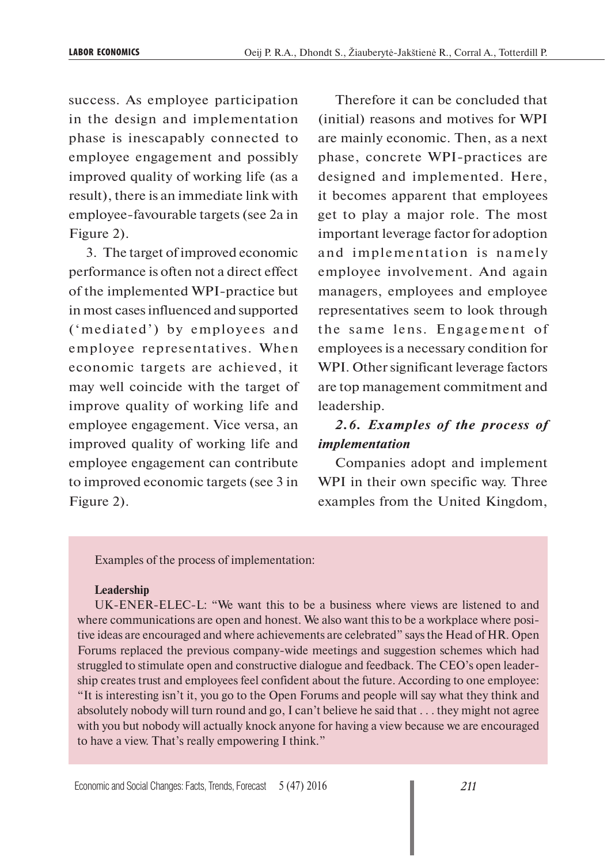success. As employee participation in the design and implementation phase is inescapably connected to employee engagement and possibly improved quality of working life (as a result), there is an immediate link with employee-favourable targets (see 2a in Figure 2).

3. The target of improved economic performance is often not a direct effect of the implemented WPI-practice but in most cases influenced and supported ('mediated') by employees and employee representatives. When economic targets are achieved, it may well coincide with the target of improve quality of working life and employee engagement. Vice versa, an improved quality of working life and employee engagement can contribute to improved economic targets (see 3 in Figure 2).

Therefore it can be concluded that (initial) reasons and motives for WPI are mainly economic. Then, as a next phase, concrete WPI-practices are designed and implemented. Here, it becomes apparent that employees get to play a major role. The most important leverage factor for adoption and implementation is namely employee involvement. And again managers, employees and employee representatives seem to look through the same lens. Engagement of employees is a necessary condition for WPI. Other significant leverage factors are top management commitment and leadership.

# *2.6. Examples of the process of implementation*

Companies adopt and implement WPI in their own specific way. Three examples from the United Kingdom,

Examples of the process of implementation:

#### **Leadership**

UK-ENER-ELEC-L: "We want this to be a business where views are listened to and where communications are open and honest. We also want this to be a workplace where positive ideas are encouraged and where achievements are celebrated" says the Head of HR. Open Forums replaced the previous company-wide meetings and suggestion schemes which had struggled to stimulate open and constructive dialogue and feedback. The CEO's open leadership creates trust and employees feel confident about the future. According to one employee: "It is interesting isn't it, you go to the Open Forums and people will say what they think and absolutely nobody will turn round and go, I can't believe he said that . . . they might not agree with you but nobody will actually knock anyone for having a view because we are encouraged to have a view. That's really empowering I think."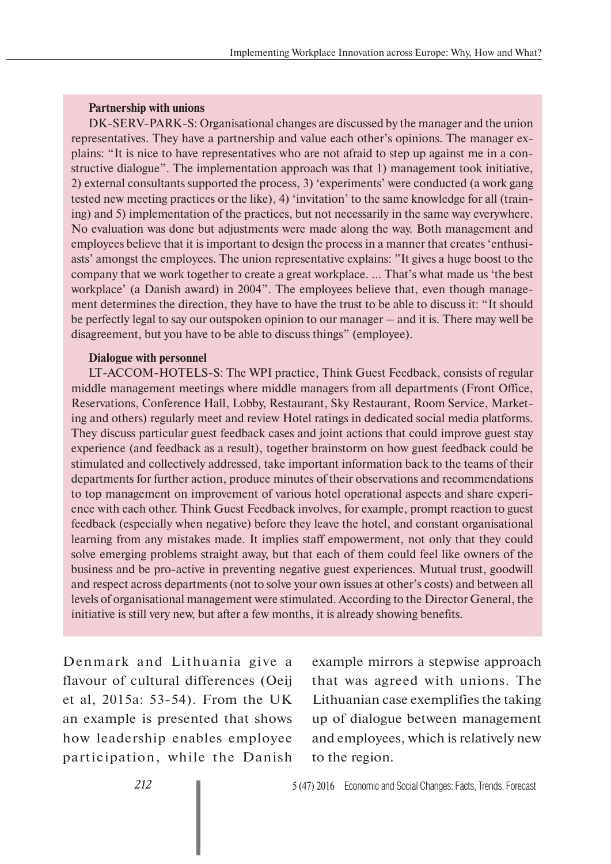#### **Partnership with unions**

DK-SERV-PARK-S: Organisational changes are discussed by the manager and the union representatives. They have a partnership and value each other's opinions. The manager explains: "It is nice to have representatives who are not afraid to step up against me in a constructive dialogue". The implementation approach was that 1) management took initiative, 2) external consultants supported the process, 3) 'experiments' were conducted (a work gang tested new meeting practices or the like), 4) 'invitation' to the same knowledge for all (training) and 5) implementation of the practices, but not necessarily in the same way everywhere. No evaluation was done but adjustments were made along the way. Both management and employees believe that it is important to design the process in a manner that creates 'enthusiasts' amongst the employees. The union representative explains: "It gives a huge boost to the company that we work together to create a great workplace. ... That's what made us 'the best workplace' (a Danish award) in 2004". The employees believe that, even though management determines the direction, they have to have the trust to be able to discuss it: "It should be perfectly legal to say our outspoken opinion to our manager – and it is. There may well be disagreement, but you have to be able to discuss things" (employee).

#### **Dialogue with personnel**

LT-ACCOM-HOTELS-S: The WPI practice, Think Guest Feedback, consists of regular middle management meetings where middle managers from all departments (Front Office, Reservations, Conference Hall, Lobby, Restaurant, Sky Restaurant, Room Service, Marketing and others) regularly meet and review Hotel ratings in dedicated social media platforms. They discuss particular guest feedback cases and joint actions that could improve guest stay experience (and feedback as a result), together brainstorm on how guest feedback could be stimulated and collectively addressed, take important information back to the teams of their departments for further action, produce minutes of their observations and recommendations to top management on improvement of various hotel operational aspects and share experience with each other. Think Guest Feedback involves, for example, prompt reaction to guest feedback (especially when negative) before they leave the hotel, and constant organisational learning from any mistakes made. It implies staff empowerment, not only that they could solve emerging problems straight away, but that each of them could feel like owners of the business and be pro-active in preventing negative guest experiences. Mutual trust, goodwill and respect across departments (not to solve your own issues at other's costs) and between all levels of organisational management were stimulated. According to the Director General, the initiative is still very new, but after a few months, it is already showing benefits.

Denmark and Lithuania give a flavour of cultural differences (Oeij et al, 2015a: 53-54). From the UK an example is presented that shows how leadership enables employee participation, while the Danish

example mirrors a stepwise approach that was agreed with unions. The Lithuanian case exemplifies the taking up of dialogue between management and employees, which is relatively new to the region.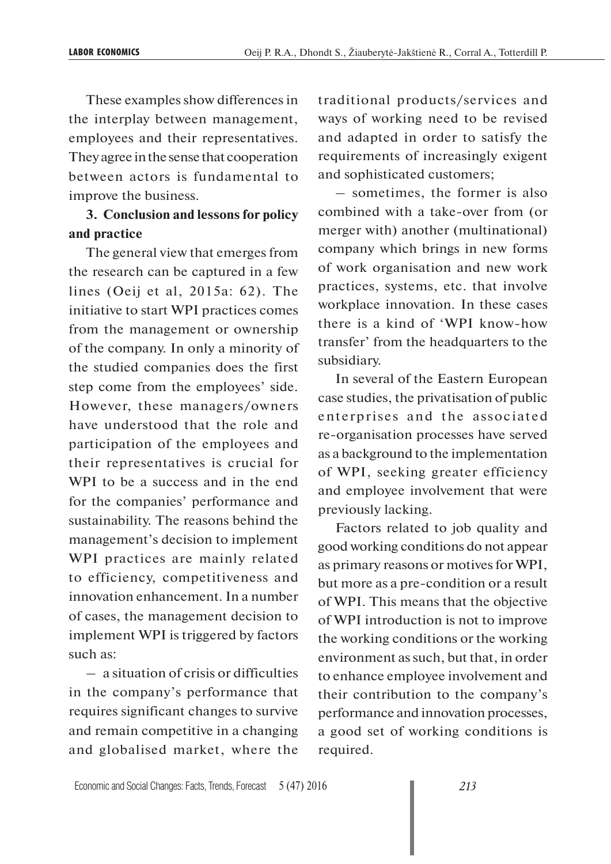These examples show differences in the interplay between management, employees and their representatives. They agree in the sense that cooperation between actors is fundamental to improve the business.

# **3. Conclusion and lessons for policy and practice**

The general view that emerges from the research can be captured in a few lines (Oeij et al, 2015a: 62). The initiative to start WPI practices comes from the management or ownership of the company. In only a minority of the studied companies does the first step come from the employees' side. However, these managers/owners have understood that the role and participation of the employees and their representatives is crucial for WPI to be a success and in the end for the companies' performance and sustainability. The reasons behind the management's decision to implement WPI practices are mainly related to efficiency, competitiveness and innovation enhancement. In a number of cases, the management decision to implement WPI is triggered by factors such as:

– a situation of crisis or difficulties in the company's performance that requires significant changes to survive and remain competitive in a changing and globalised market, where the

traditional products/services and ways of working need to be revised and adapted in order to satisfy the requirements of increasingly exigent and sophisticated customers;

– sometimes, the former is also combined with a take-over from (or merger with) another (multinational) company which brings in new forms of work organisation and new work practices, systems, etc. that involve workplace innovation. In these cases there is a kind of 'WPI know-how transfer' from the headquarters to the subsidiary.

In several of the Eastern European case studies, the privatisation of public enterprises and the associated re-organisation processes have served as a background to the implementation of WPI, seeking greater efficiency and employee involvement that were previously lacking.

Factors related to job quality and good working conditions do not appear as primary reasons or motives for WPI, but more as a pre-condition or a result of WPI. This means that the objective of WPI introduction is not to improve the working conditions or the working environment as such, but that, in order to enhance employee involvement and their contribution to the company's performance and innovation processes, a good set of working conditions is required.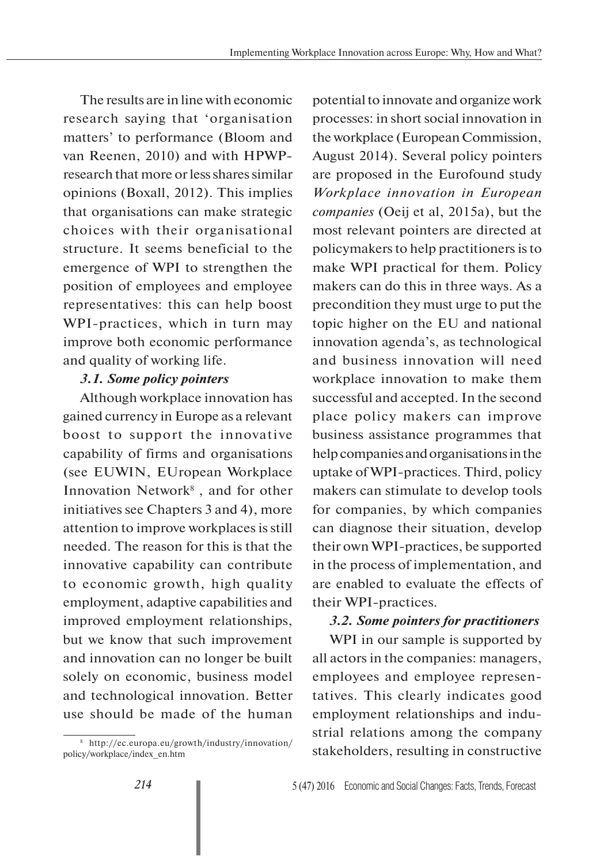The results are in line with economic research saying that 'organisation matters' to performance (Bloom and van Reenen, 2010) and with HPWPresearch that more or less shares similar opinions (Boxall, 2012). This implies that organisations can make strategic choices with their organisational structure. It seems beneficial to the emergence of WPI to strengthen the position of employees and employee representatives: this can help boost WPI-practices, which in turn may improve both economic performance and quality of working life.

### *3.1. Some policy pointers*

Although workplace innovation has gained currency in Europe as a relevant boost to support the innovative capability of firms and organisations (see EUWIN, EUropean Workplace Innovation Network<sup>8</sup>, and for other initiatives see Chapters 3 and 4), more attention to improve workplaces is still needed. The reason for this is that the innovative capability can contribute to economic growth, high quality employment, adaptive capabilities and improved employment relationships, but we know that such improvement and innovation can no longer be built solely on economic, business model and technological innovation. Better use should be made of the human

potential to innovate and organize work processes: in short social innovation in the workplace (European Commission, August 2014). Several policy pointers are proposed in the Eurofound study *Workplace innovation in European companies* (Oeij et al, 2015a), but the most relevant pointers are directed at policymakers to help practitioners is to make WPI practical for them. Policy makers can do this in three ways. As a precondition they must urge to put the topic higher on the EU and national innovation agenda's, as technological and business innovation will need workplace innovation to make them successful and accepted. In the second place policy makers can improve business assistance programmes that help companies and organisations in the uptake of WPI-practices. Third, policy makers can stimulate to develop tools for companies, by which companies can diagnose their situation, develop their own WPI-practices, be supported in the process of implementation, and are enabled to evaluate the effects of their WPI-practices.

### *3.2. Some pointers for practitioners*

WPI in our sample is supported by all actors in the companies: managers, employees and employee representatives. This clearly indicates good employment relationships and industrial relations among the company stakeholders, resulting in constructive

<sup>8</sup> http://ec.europa.eu/growth/industry/innovation/ policy/workplace/index\_en.htm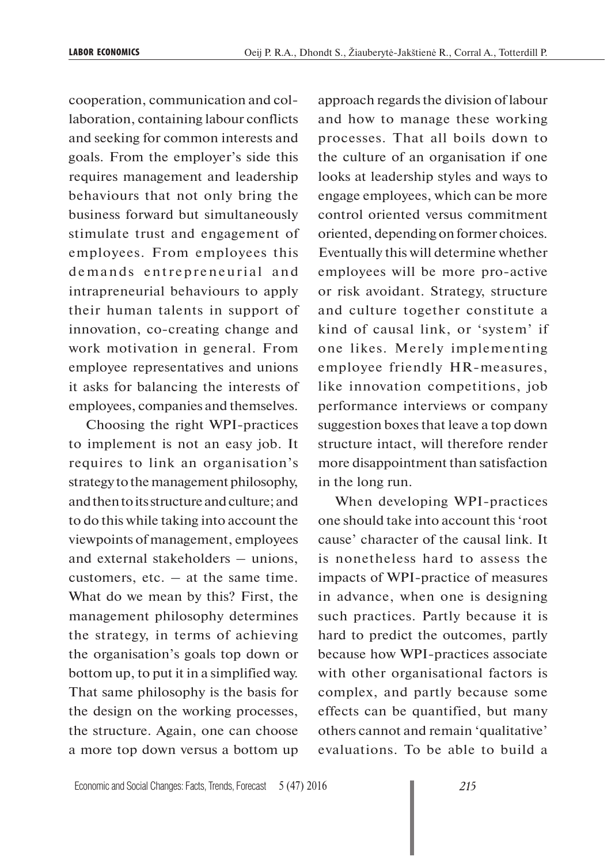cooperation, communication and collaboration, containing labour conflicts and seeking for common interests and goals. From the employer's side this requires management and leadership behaviours that not only bring the business forward but simultaneously stimulate trust and engagement of employees. From employees this demands entrepreneurial and intrapreneurial behaviours to apply their human talents in support of innovation, co-creating change and work motivation in general. From employee representatives and unions it asks for balancing the interests of employees, companies and themselves.

Choosing the right WPI-practices to implement is not an easy job. It requires to link an organisation's strategy to the management philosophy, and then to its structure and culture; and to do this while taking into account the viewpoints of management, employees and external stakeholders – unions, customers, etc.  $-$  at the same time. What do we mean by this? First, the management philosophy determines the strategy, in terms of achieving the organisation's goals top down or bottom up, to put it in a simplified way. That same philosophy is the basis for the design on the working processes, the structure. Again, one can choose a more top down versus a bottom up approach regards the division of labour and how to manage these working processes. That all boils down to the culture of an organisation if one looks at leadership styles and ways to engage employees, which can be more control oriented versus commitment oriented, depending on former choices. Eventually this will determine whether employees will be more pro-active or risk avoidant. Strategy, structure and culture together constitute a kind of causal link, or 'system' if one likes. Merely implementing employee friendly HR-measures, like innovation competitions, job performance interviews or company suggestion boxes that leave a top down structure intact, will therefore render more disappointment than satisfaction in the long run.

When developing WPI-practices one should take into account this 'root cause' character of the causal link. It is nonetheless hard to assess the impacts of WPI-practice of measures in advance, when one is designing such practices. Partly because it is hard to predict the outcomes, partly because how WPI-practices associate with other organisational factors is complex, and partly because some effects can be quantified, but many others cannot and remain 'qualitative' evaluations. To be able to build a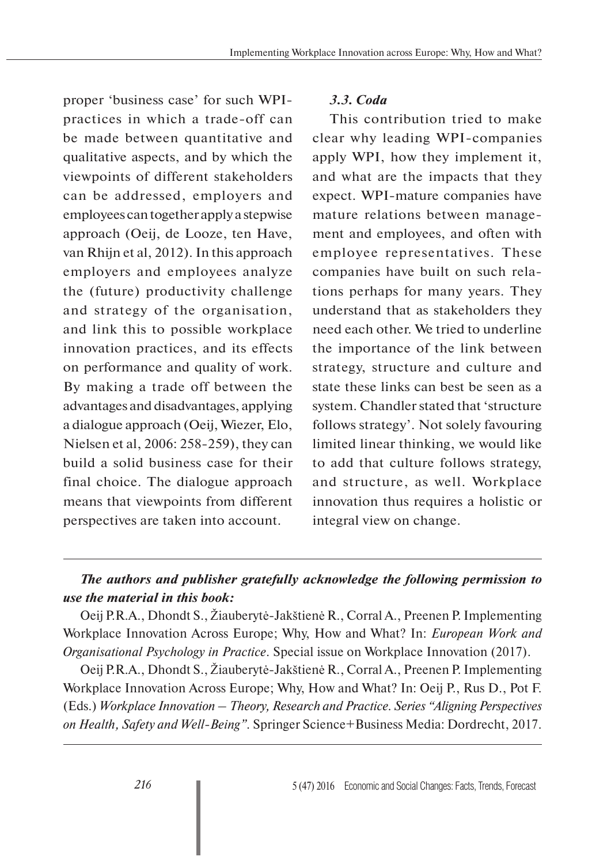proper 'business case' for such WPIpractices in which a trade-off can be made between quantitative and qualitative aspects, and by which the viewpoints of different stakeholders can be addressed, employers and employees can together apply a stepwise approach (Oeij, de Looze, ten Have, van Rhijn et al, 2012). In this approach employers and employees analyze the (future) productivity challenge and strategy of the organisation, and link this to possible workplace innovation practices, and its effects on performance and quality of work. By making a trade off between the advantages and disadvantages, applying a dialogue approach (Oeij, Wiezer, Elo, Nielsen et al, 2006: 258-259), they can build a solid business case for their final choice. The dialogue approach means that viewpoints from different perspectives are taken into account.

### *3.3. Coda*

This contribution tried to make clear why leading WPI-companies apply WPI, how they implement it, and what are the impacts that they expect. WPI-mature companies have mature relations between management and employees, and often with employee representatives. These companies have built on such relations perhaps for many years. They understand that as stakeholders they need each other. We tried to underline the importance of the link between strategy, structure and culture and state these links can best be seen as a system. Chandler stated that 'structure follows strategy'. Not solely favouring limited linear thinking, we would like to add that culture follows strategy, and structure, as well. Workplace innovation thus requires a holistic or integral view on change.

# *The authors and publisher gratefully acknowledge the following permission to use the material in this book:*

Oeij P.R.A., Dhondt S., Žiauberytė-Jakštienė R., Corral A., Preenen P. Implementing Workplace Innovation Across Europe; Why, How and What? In: *European Work and Organisational Psychology in Practice*. Special issue on Workplace Innovation (2017).

Oeij P.R.A., Dhondt S., Žiauberytė-Jakštienė R., Corral A., Preenen P. Implementing Workplace Innovation Across Europe; Why, How and What? In: Oeij P., Rus D., Pot F. (Eds.) *Workplace Innovation – Theory, Research and Practice. Series "Aligning Perspectives on Health, Safety and Well-Being".* Springer Science+Business Media: Dordrecht, 2017.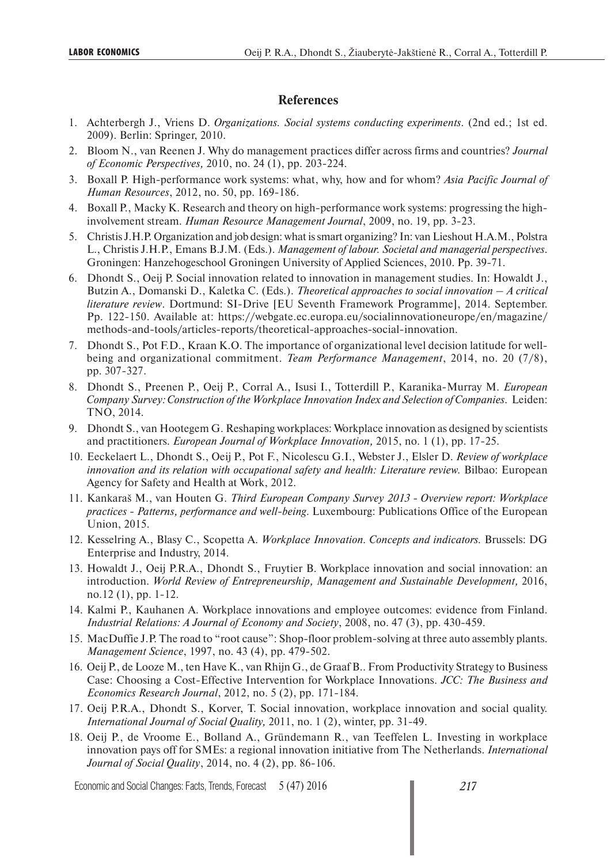#### **References**

- 1. Achterbergh J., Vriens D. *Organizations. Social systems conducting experiments*. (2nd ed.; 1st ed. 2009). Berlin: Springer, 2010.
- 2. Bloom N., van Reenen J. Why do management practices differ across firms and countries? *Journal of Economic Perspectives,* 2010, no. 24 (1), pp. 203-224.
- 3. Boxall P. High-performance work systems: what, why, how and for whom? *Asia Pacific Journal of Human Resources*, 2012, no. 50, pp. 169-186.
- 4. Boxall P., Macky K. Research and theory on high-performance work systems: progressing the highinvolvement stream. *Human Resource Management Journal*, 2009, no. 19, pp. 3-23.
- 5. Christis J.H.P. Organization and job design: what is smart organizing? In: van Lieshout H.A.M., Polstra L., Christis J.H.P., Emans B.J.M. (Eds.). *Management of labour. Societal and managerial perspectives*. Groningen: Hanzehogeschool Groningen University of Applied Sciences, 2010. Pp. 39-71.
- 6. Dhondt S., Oeij P. Social innovation related to innovation in management studies. In: Howaldt J., Butzin A., Domanski D., Kaletka C. (Eds.). *Theoretical approaches to social innovation – A critical literature review*. Dortmund: SI-Drive [EU Seventh Framework Programme], 2014. September. Pp. 122-150. Available at: https://webgate.ec.europa.eu/socialinnovationeurope/en/magazine/ methods-and-tools/articles-reports/theoretical-approaches-social-innovation.
- 7. Dhondt S., Pot F.D., Kraan K.O. The importance of organizational level decision latitude for wellbeing and organizational commitment. *Team Performance Management*, 2014, no. 20 (7/8), pp. 307-327.
- 8. Dhondt S., Preenen P., Oeij P., Corral A., Isusi I., Totterdill P., Karanika-Murray M. *European Company Survey: Construction of the Workplace Innovation Index and Selection of Companies*. Leiden: TNO, 2014.
- 9. Dhondt S., van Hootegem G. Reshaping workplaces: Workplace innovation as designed by scientists and practitioners. *European Journal of Workplace Innovation,* 2015, no. 1 (1), pp. 17-25.
- 10. Eeckelaert L., Dhondt S., Oeij P., Pot F., Nicolescu G.I., Webster J., Elsler D. *Review of workplace*  innovation and its relation with occupational safety and health: Literature review. Bilbao: European Agency for Safety and Health at Work, 2012.
- 11. Kankaraš M., van Houten G. *Third European Company Survey 2013 Overview report: Workplace practices - Patterns, performance and well-being*. Luxembourg: Publications Office of the European Union, 2015.
- 12. Kesselring A., Blasy C., Scopetta A. *Workplace Innovation. Concepts and indicators.* Brussels: DG Enterprise and Industry, 2014.
- 13. Howaldt J., Oeij P.R.A., Dhondt S., Fruytier B. Workplace innovation and social innovation: an introduction. *World Review of Entrepreneurship, Management and Sustainable Development,* 2016, no.12 (1), pp. 1-12.
- 14. Kalmi P., Kauhanen A. Workplace innovations and employee outcomes: evidence from Finland. *Industrial Relations: A Journal of Economy and Society*, 2008, no. 47 (3), pp. 430-459.
- 15. MacDuffie J.P. The road to "root cause": Shop-floor problem-solving at three auto assembly plants. *Management Science*, 1997, no. 43 (4), pp. 479-502.
- 16. Oeij P., de Looze M., ten Have K., van Rhijn G., de Graaf B.. From Productivity Strategy to Business Case: Choosing a Cost-Effective Intervention for Workplace Innovations. *JCC: The Business and Economics Research Journal*, 2012, no. 5 (2), pp. 171-184.
- 17. Oeij P.R.A., Dhondt S., Korver, T. Social innovation, workplace innovation and social quality. *International Journal of Social Quality,* 2011, no. 1 (2), winter, pp. 31-49.
- 18. Oeij P., de Vroome E., Bolland A., Gründemann R., van Teeffelen L. Investing in workplace innovation pays off for SMEs: a regional innovation initiative from The Netherlands. *International Journal of Social Quality*, 2014, no. 4 (2), pp. 86-106.

Economic and Social Changes: Facts, Trends, Forecast 5 (47) 2016 *217*